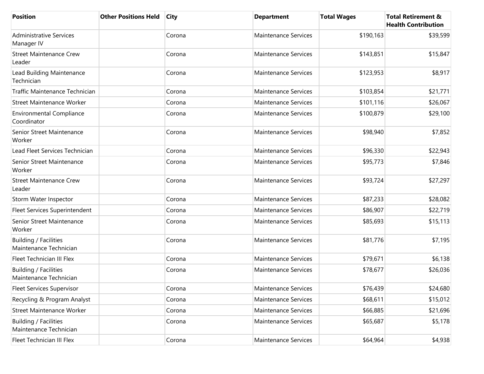| <b>Position</b>                                 | <b>Other Positions Held</b> | <b>City</b> | <b>Department</b>           | <b>Total Wages</b> | <b>Total Retirement &amp;</b><br><b>Health Contribution</b> |
|-------------------------------------------------|-----------------------------|-------------|-----------------------------|--------------------|-------------------------------------------------------------|
| <b>Administrative Services</b><br>Manager IV    |                             | Corona      | <b>Maintenance Services</b> | \$190,163          | \$39,599                                                    |
| <b>Street Maintenance Crew</b><br>Leader        |                             | Corona      | Maintenance Services        | \$143,851          | \$15,847                                                    |
| Lead Building Maintenance<br>Technician         |                             | Corona      | <b>Maintenance Services</b> | \$123,953          | \$8,917                                                     |
| Traffic Maintenance Technician                  |                             | Corona      | <b>Maintenance Services</b> | \$103,854          | \$21,771                                                    |
| <b>Street Maintenance Worker</b>                |                             | Corona      | Maintenance Services        | \$101,116          | \$26,067                                                    |
| <b>Environmental Compliance</b><br>Coordinator  |                             | Corona      | Maintenance Services        | \$100,879          | \$29,100                                                    |
| Senior Street Maintenance<br>Worker             |                             | Corona      | <b>Maintenance Services</b> | \$98,940           | \$7,852                                                     |
| Lead Fleet Services Technician                  |                             | Corona      | <b>Maintenance Services</b> | \$96,330           | \$22,943                                                    |
| Senior Street Maintenance<br>Worker             |                             | Corona      | Maintenance Services        | \$95,773           | \$7,846                                                     |
| <b>Street Maintenance Crew</b><br>Leader        |                             | Corona      | Maintenance Services        | \$93,724           | \$27,297                                                    |
| Storm Water Inspector                           |                             | Corona      | <b>Maintenance Services</b> | \$87,233           | \$28,082                                                    |
| Fleet Services Superintendent                   |                             | Corona      | <b>Maintenance Services</b> | \$86,907           | \$22,719                                                    |
| Senior Street Maintenance<br>Worker             |                             | Corona      | Maintenance Services        | \$85,693           | \$15,113                                                    |
| Building / Facilities<br>Maintenance Technician |                             | Corona      | Maintenance Services        | \$81,776           | \$7,195                                                     |
| <b>Fleet Technician III Flex</b>                |                             | Corona      | Maintenance Services        | \$79,671           | \$6,138                                                     |
| Building / Facilities<br>Maintenance Technician |                             | Corona      | <b>Maintenance Services</b> | \$78,677           | \$26,036                                                    |
| <b>Fleet Services Supervisor</b>                |                             | Corona      | Maintenance Services        | \$76,439           | \$24,680                                                    |
| Recycling & Program Analyst                     |                             | Corona      | Maintenance Services        | \$68,611           | \$15,012                                                    |
| <b>Street Maintenance Worker</b>                |                             | Corona      | Maintenance Services        | \$66,885           | \$21,696                                                    |
| Building / Facilities<br>Maintenance Technician |                             | Corona      | Maintenance Services        | \$65,687           | \$5,178                                                     |
| Fleet Technician III Flex                       |                             | Corona      | Maintenance Services        | \$64,964           | \$4,938                                                     |